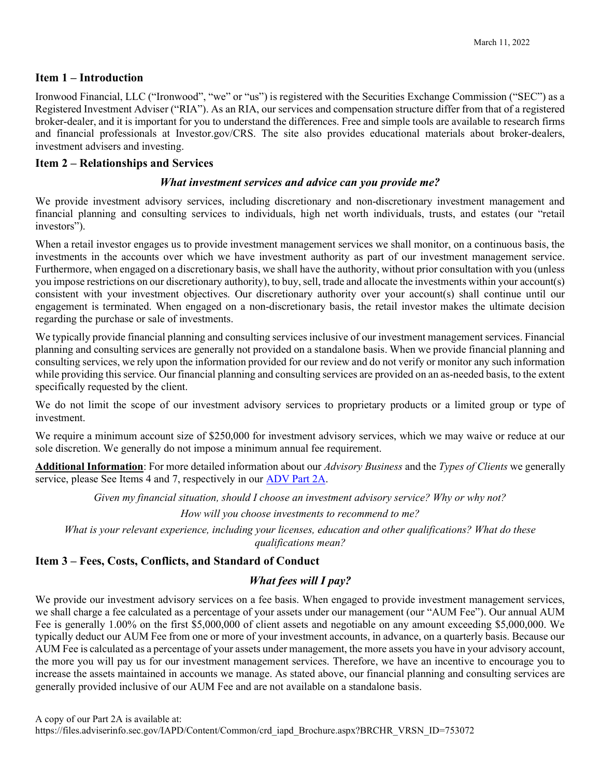#### Item 1 – Introduction

Ironwood Financial, LLC ("Ironwood", "we" or "us") is registered with the Securities Exchange Commission ("SEC") as a Registered Investment Adviser ("RIA"). As an RIA, our services and compensation structure differ from that of a registered broker-dealer, and it is important for you to understand the differences. Free and simple tools are available to research firms and financial professionals at Investor.gov/CRS. The site also provides educational materials about broker-dealers, investment advisers and investing.

### Item 2 – Relationships and Services

#### What investment services and advice can you provide me?

We provide investment advisory services, including discretionary and non-discretionary investment management and financial planning and consulting services to individuals, high net worth individuals, trusts, and estates (our "retail investors").

When a retail investor engages us to provide investment management services we shall monitor, on a continuous basis, the investments in the accounts over which we have investment authority as part of our investment management service. Furthermore, when engaged on a discretionary basis, we shall have the authority, without prior consultation with you (unless you impose restrictions on our discretionary authority), to buy, sell, trade and allocate the investments within your account(s) consistent with your investment objectives. Our discretionary authority over your account(s) shall continue until our engagement is terminated. When engaged on a non-discretionary basis, the retail investor makes the ultimate decision regarding the purchase or sale of investments.

We typically provide financial planning and consulting services inclusive of our investment management services. Financial planning and consulting services are generally not provided on a standalone basis. When we provide financial planning and consulting services, we rely upon the information provided for our review and do not verify or monitor any such information while providing this service. Our financial planning and consulting services are provided on an as-needed basis, to the extent specifically requested by the client.

We do not limit the scope of our investment advisory services to proprietary products or a limited group or type of investment.

We require a minimum account size of \$250,000 for investment advisory services, which we may waive or reduce at our sole discretion. We generally do not impose a minimum annual fee requirement.

Additional Information: For more detailed information about our *Advisory Business* and the Types of Clients we generally service, please See Items 4 and 7, respectively in our **ADV Part 2A**.

Given my financial situation, should I choose an investment advisory service? Why or why not?

How will you choose investments to recommend to me?

What is your relevant experience, including your licenses, education and other qualifications? What do these qualifications mean?

## Item 3 – Fees, Costs, Conflicts, and Standard of Conduct

### What fees will I pay?

We provide our investment advisory services on a fee basis. When engaged to provide investment management services, we shall charge a fee calculated as a percentage of your assets under our management (our "AUM Fee"). Our annual AUM Fee is generally 1.00% on the first \$5,000,000 of client assets and negotiable on any amount exceeding \$5,000,000. We typically deduct our AUM Fee from one or more of your investment accounts, in advance, on a quarterly basis. Because our AUM Fee is calculated as a percentage of your assets under management, the more assets you have in your advisory account, the more you will pay us for our investment management services. Therefore, we have an incentive to encourage you to increase the assets maintained in accounts we manage. As stated above, our financial planning and consulting services are generally provided inclusive of our AUM Fee and are not available on a standalone basis.